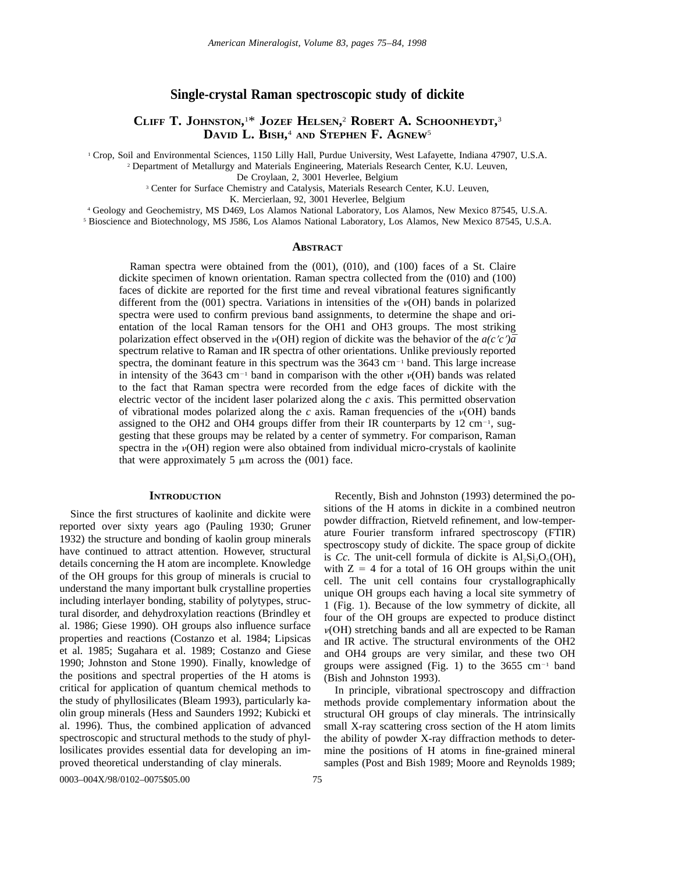# **Single-crystal Raman spectroscopic study of dickite**

# **CLIFF T. JOHNSTON,** 1 \* **JOZEF HELSEN,** <sup>2</sup> **ROBERT A. SCHOONHEYDT,** 3 **DAVID L. BISH,** <sup>4</sup> **AND STEPHEN F. AGNEW**<sup>5</sup>

<sup>1</sup> Crop, Soil and Environmental Sciences, 1150 Lilly Hall, Purdue University, West Lafayette, Indiana 47907, U.S.A.

<sup>2</sup> Department of Metallurgy and Materials Engineering, Materials Research Center, K.U. Leuven,

De Croylaan, 2, 3001 Heverlee, Belgium

<sup>3</sup> Center for Surface Chemistry and Catalysis, Materials Research Center, K.U. Leuven,

K. Mercierlaan, 92, 3001 Heverlee, Belgium

<sup>4</sup> Geology and Geochemistry, MS D469, Los Alamos National Laboratory, Los Alamos, New Mexico 87545, U.S.A.

<sup>5</sup> Bioscience and Biotechnology, MS J586, Los Alamos National Laboratory, Los Alamos, New Mexico 87545, U.S.A.

# **ABSTRACT**

Raman spectra were obtained from the (001), (010), and (100) faces of a St. Claire dickite specimen of known orientation. Raman spectra collected from the (010) and (100) faces of dickite are reported for the first time and reveal vibrational features significantly different from the (001) spectra. Variations in intensities of the  $\nu(OH)$  bands in polarized spectra were used to confirm previous band assignments, to determine the shape and orientation of the local Raman tensors for the OH1 and OH3 groups. The most striking polarization effect observed in the  $\nu(OH)$  region of dickite was the behavior of the  $a(c'c')\bar{a}$ spectrum relative to Raman and IR spectra of other orientations. Unlike previously reported spectra, the dominant feature in this spectrum was the  $3643 \text{ cm}^{-1}$  band. This large increase in intensity of the 3643 cm<sup>-1</sup> band in comparison with the other  $\nu(OH)$  bands was related to the fact that Raman spectra were recorded from the edge faces of dickite with the electric vector of the incident laser polarized along the  $c$  axis. This permitted observation of vibrational modes polarized along the  $c$  axis. Raman frequencies of the  $v(OH)$  bands assigned to the OH2 and OH4 groups differ from their IR counterparts by  $12 \text{ cm}^{-1}$ , suggesting that these groups may be related by a center of symmetry. For comparison, Raman spectra in the  $\nu(OH)$  region were also obtained from individual micro-crystals of kaolinite that were approximately 5  $\mu$ m across the (001) face.

## **INTRODUCTION**

Since the first structures of kaolinite and dickite were reported over sixty years ago (Pauling 1930; Gruner 1932) the structure and bonding of kaolin group minerals have continued to attract attention. However, structural details concerning the H atom are incomplete. Knowledge of the OH groups for this group of minerals is crucial to understand the many important bulk crystalline properties including interlayer bonding, stability of polytypes, structural disorder, and dehydroxylation reactions (Brindley et al. 1986; Giese 1990). OH groups also influence surface properties and reactions (Costanzo et al. 1984; Lipsicas et al. 1985; Sugahara et al. 1989; Costanzo and Giese 1990; Johnston and Stone 1990). Finally, knowledge of the positions and spectral properties of the H atoms is critical for application of quantum chemical methods to the study of phyllosilicates (Bleam 1993), particularly kaolin group minerals (Hess and Saunders 1992; Kubicki et al. 1996). Thus, the combined application of advanced spectroscopic and structural methods to the study of phyllosilicates provides essential data for developing an improved theoretical understanding of clay minerals.

Recently, Bish and Johnston (1993) determined the positions of the H atoms in dickite in a combined neutron powder diffraction, Rietveld refinement, and low-temperature Fourier transform infrared spectroscopy (FTIR) spectroscopy study of dickite. The space group of dickite is *Cc*. The unit-cell formula of dickite is  $Al_2Si_2O_5(OH)_4$ with  $Z = 4$  for a total of 16 OH groups within the unit cell. The unit cell contains four crystallographically unique OH groups each having a local site symmetry of 1 (Fig. 1). Because of the low symmetry of dickite, all four of the OH groups are expected to produce distinct  $\nu(OH)$  stretching bands and all are expected to be Raman and IR active. The structural environments of the OH2 and OH4 groups are very similar, and these two OH groups were assigned (Fig. 1) to the  $3655 \text{ cm}^{-1}$  band (Bish and Johnston 1993).

In principle, vibrational spectroscopy and diffraction methods provide complementary information about the structural OH groups of clay minerals. The intrinsically small X-ray scattering cross section of the H atom limits the ability of powder X-ray diffraction methods to determine the positions of H atoms in fine-grained mineral samples (Post and Bish 1989; Moore and Reynolds 1989;

0003–004X/98/0102–0075\$05.00 75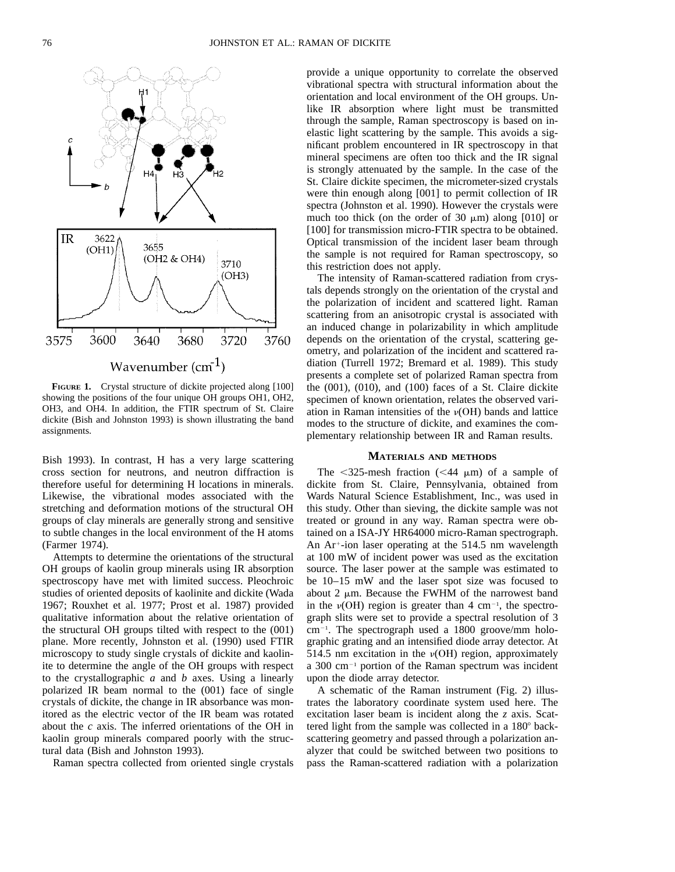

**FIGURE 1.** Crystal structure of dickite projected along [100] showing the positions of the four unique OH groups OH1, OH2, OH3, and OH4. In addition, the FTIR spectrum of St. Claire dickite (Bish and Johnston 1993) is shown illustrating the band assignments.

Bish 1993). In contrast, H has a very large scattering cross section for neutrons, and neutron diffraction is therefore useful for determining H locations in minerals. Likewise, the vibrational modes associated with the stretching and deformation motions of the structural OH groups of clay minerals are generally strong and sensitive to subtle changes in the local environment of the H atoms (Farmer 1974).

Attempts to determine the orientations of the structural OH groups of kaolin group minerals using IR absorption spectroscopy have met with limited success. Pleochroic studies of oriented deposits of kaolinite and dickite (Wada 1967; Rouxhet et al. 1977; Prost et al. 1987) provided qualitative information about the relative orientation of the structural OH groups tilted with respect to the (001) plane. More recently, Johnston et al. (1990) used FTIR microscopy to study single crystals of dickite and kaolinite to determine the angle of the OH groups with respect to the crystallographic *a* and *b* axes. Using a linearly polarized IR beam normal to the (001) face of single crystals of dickite, the change in IR absorbance was monitored as the electric vector of the IR beam was rotated about the *c* axis. The inferred orientations of the OH in kaolin group minerals compared poorly with the structural data (Bish and Johnston 1993).

Raman spectra collected from oriented single crystals

provide a unique opportunity to correlate the observed vibrational spectra with structural information about the orientation and local environment of the OH groups. Unlike IR absorption where light must be transmitted through the sample, Raman spectroscopy is based on inelastic light scattering by the sample. This avoids a significant problem encountered in IR spectroscopy in that mineral specimens are often too thick and the IR signal is strongly attenuated by the sample. In the case of the St. Claire dickite specimen, the micrometer-sized crystals were thin enough along [001] to permit collection of IR spectra (Johnston et al. 1990). However the crystals were much too thick (on the order of 30  $\mu$ m) along [010] or [100] for transmission micro-FTIR spectra to be obtained. Optical transmission of the incident laser beam through the sample is not required for Raman spectroscopy, so this restriction does not apply.

The intensity of Raman-scattered radiation from crystals depends strongly on the orientation of the crystal and the polarization of incident and scattered light. Raman scattering from an anisotropic crystal is associated with an induced change in polarizability in which amplitude depends on the orientation of the crystal, scattering geometry, and polarization of the incident and scattered radiation (Turrell 1972; Bremard et al. 1989). This study presents a complete set of polarized Raman spectra from the (001), (010), and (100) faces of a St. Claire dickite specimen of known orientation, relates the observed variation in Raman intensities of the  $\nu(OH)$  bands and lattice modes to the structure of dickite, and examines the complementary relationship between IR and Raman results.

## **MATERIALS AND METHODS**

The  $\leq$ 325-mesh fraction ( $\leq$ 44  $\mu$ m) of a sample of dickite from St. Claire, Pennsylvania, obtained from Wards Natural Science Establishment, Inc., was used in this study. Other than sieving, the dickite sample was not treated or ground in any way. Raman spectra were obtained on a ISA-JY HR64000 micro-Raman spectrograph. An  $Ar<sup>+</sup>$ -ion laser operating at the 514.5 nm wavelength at 100 mW of incident power was used as the excitation source. The laser power at the sample was estimated to be 10–15 mW and the laser spot size was focused to about 2  $\mu$ m. Because the FWHM of the narrowest band in the  $v(OH)$  region is greater than 4 cm<sup>-1</sup>, the spectrograph slits were set to provide a spectral resolution of 3 cm<sup>-1</sup>. The spectrograph used a 1800 groove/mm holographic grating and an intensified diode array detector. At 514.5 nm excitation in the  $\nu(OH)$  region, approximately a 300 cm $^{-1}$  portion of the Raman spectrum was incident upon the diode array detector.

A schematic of the Raman instrument (Fig. 2) illustrates the laboratory coordinate system used here. The excitation laser beam is incident along the *z* axis. Scattered light from the sample was collected in a  $180^\circ$  backscattering geometry and passed through a polarization analyzer that could be switched between two positions to pass the Raman-scattered radiation with a polarization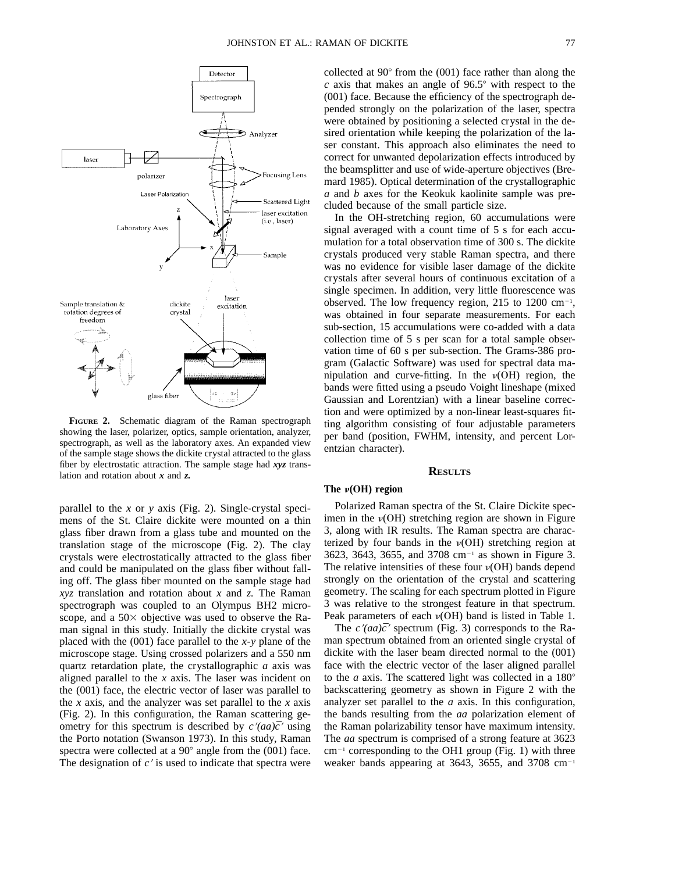

**FIGURE 2.** Schematic diagram of the Raman spectrograph showing the laser, polarizer, optics, sample orientation, analyzer, spectrograph, as well as the laboratory axes. An expanded view of the sample stage shows the dickite crystal attracted to the glass fiber by electrostatic attraction. The sample stage had *xyz* translation and rotation about *x* and *z.*

parallel to the *x* or *y* axis (Fig. 2). Single-crystal specimens of the St. Claire dickite were mounted on a thin glass fiber drawn from a glass tube and mounted on the translation stage of the microscope (Fig. 2). The clay crystals were electrostatically attracted to the glass fiber and could be manipulated on the glass fiber without falling off. The glass fiber mounted on the sample stage had *xyz* translation and rotation about *x* and *z.* The Raman spectrograph was coupled to an Olympus BH2 microscope, and a  $50\times$  objective was used to observe the Raman signal in this study. Initially the dickite crystal was placed with the (001) face parallel to the *x*-*y* plane of the microscope stage. Using crossed polarizers and a 550 nm quartz retardation plate, the crystallographic *a* axis was aligned parallel to the *x* axis. The laser was incident on the (001) face, the electric vector of laser was parallel to the *x* axis, and the analyzer was set parallel to the *x* axis (Fig. 2). In this configuration, the Raman scattering geometry for this spectrum is described by  $c'(aa)\bar{c}'$  using the Porto notation (Swanson 1973). In this study, Raman spectra were collected at a  $90^{\circ}$  angle from the (001) face. The designation of  $c<sup>2</sup>$  is used to indicate that spectra were

collected at  $90^{\circ}$  from the  $(001)$  face rather than along the  $c$  axis that makes an angle of  $96.5^{\circ}$  with respect to the (001) face. Because the efficiency of the spectrograph depended strongly on the polarization of the laser, spectra were obtained by positioning a selected crystal in the desired orientation while keeping the polarization of the laser constant. This approach also eliminates the need to correct for unwanted depolarization effects introduced by the beamsplitter and use of wide-aperture objectives (Bremard 1985). Optical determination of the crystallographic *a* and *b* axes for the Keokuk kaolinite sample was precluded because of the small particle size.

In the OH-stretching region, 60 accumulations were signal averaged with a count time of 5 s for each accumulation for a total observation time of 300 s. The dickite crystals produced very stable Raman spectra, and there was no evidence for visible laser damage of the dickite crystals after several hours of continuous excitation of a single specimen. In addition, very little fluorescence was observed. The low frequency region,  $215$  to  $1200 \text{ cm}^{-1}$ , was obtained in four separate measurements. For each sub-section, 15 accumulations were co-added with a data collection time of 5 s per scan for a total sample observation time of 60 s per sub-section. The Grams-386 program (Galactic Software) was used for spectral data manipulation and curve-fitting. In the  $\nu(OH)$  region, the bands were fitted using a pseudo Voight lineshape (mixed Gaussian and Lorentzian) with a linear baseline correction and were optimized by a non-linear least-squares fitting algorithm consisting of four adjustable parameters per band (position, FWHM, intensity, and percent Lorentzian character).

## **RESULTS**

# The  $\nu(OH)$  region

Polarized Raman spectra of the St. Claire Dickite specimen in the  $\nu(OH)$  stretching region are shown in Figure 3, along with IR results. The Raman spectra are characterized by four bands in the  $v(OH)$  stretching region at  $3623, 3643, 3655,$  and  $3708$  cm<sup>-1</sup> as shown in Figure 3. The relative intensities of these four  $\nu(OH)$  bands depend strongly on the orientation of the crystal and scattering geometry. The scaling for each spectrum plotted in Figure 3 was relative to the strongest feature in that spectrum. Peak parameters of each  $v(OH)$  band is listed in Table 1.

The  $c'(aa)\bar{c}'$  spectrum (Fig. 3) corresponds to the Raman spectrum obtained from an oriented single crystal of dickite with the laser beam directed normal to the (001) face with the electric vector of the laser aligned parallel to the *a* axis. The scattered light was collected in a  $180^\circ$ backscattering geometry as shown in Figure 2 with the analyzer set parallel to the *a* axis. In this configuration, the bands resulting from the *aa* polarization element of the Raman polarizability tensor have maximum intensity. The *aa* spectrum is comprised of a strong feature at 3623  $cm^{-1}$  corresponding to the OH1 group (Fig. 1) with three weaker bands appearing at 3643, 3655, and 3708  $cm^{-1}$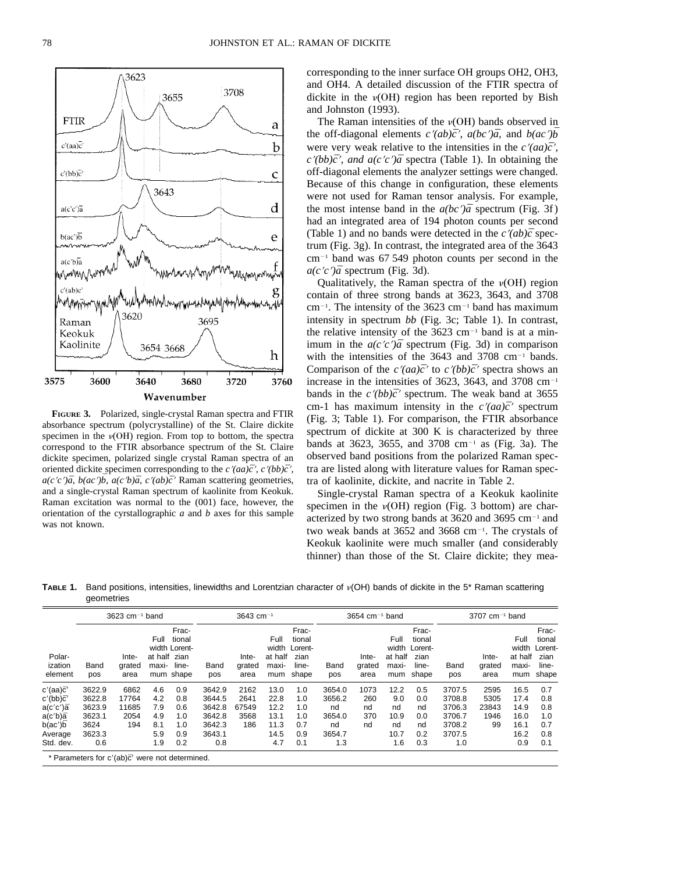

**FIGURE 3.** Polarized, single-crystal Raman spectra and FTIR absorbance spectrum (polycrystalline) of the St. Claire dickite specimen in the  $\nu(OH)$  region. From top to bottom, the spectra correspond to the FTIR absorbance spectrum of the St. Claire dickite specimen, polarized single crystal Raman spectra of an oriented dickite specimen corresponding to the *c* $\langle \langle aa \rangle \bar{c} \rangle$ *, c* $\langle \langle bb \rangle \bar{c} \rangle$  $a(c'c')\bar{a}$ ,  $b(ac')\bar{b}$ ,  $a(c'b)\bar{a}$ ,  $c'(ab)\bar{c}'$  Raman scattering geometries, and a single-crystal Raman spectrum of kaolinite from Keokuk. Raman excitation was normal to the (001) face, however, the orientation of the cyrstallographic *a* and *b* axes for this sample was not known.

corresponding to the inner surface OH groups OH2, OH3, and OH4. A detailed discussion of the FTIR spectra of dickite in the  $v(OH)$  region has been reported by Bish and Johnston (1993).

The Raman intensities of the  $\nu(OH)$  bands observed in the off-diagonal elements  $c'(ab)\bar{c}'$ ,  $a(bc')\bar{a}$ , and  $b(ac')\bar{b}$ were very weak relative to the intensities in the  $c'(aa)\bar{c}'$ ,  $c'(bb)\bar{c}'$ , and  $a(c'c')\bar{a}$  spectra (Table 1). In obtaining the off-diagonal elements the analyzer settings were changed. Because of this change in configuration, these elements were not used for Raman tensor analysis. For example, the most intense band in the  $a(bc')\bar{a}$  spectrum (Fig. 3f) had an integrated area of 194 photon counts per second (Table 1) and no bands were detected in the  $c'(ab)\bar{c}$  spectrum (Fig. 3g). In contrast, the integrated area of the 3643  $cm^{-1}$  band was 67 549 photon counts per second in the  $a(c'c')\bar{a}$  spectrum (Fig. 3d).

Qualitatively, the Raman spectra of the  $\nu(OH)$  region contain of three strong bands at 3623, 3643, and 3708  $cm^{-1}$ . The intensity of the 3623  $cm^{-1}$  band has maximum intensity in spectrum *bb* (Fig. 3c; Table 1). In contrast, the relative intensity of the  $3623 \text{ cm}^{-1}$  band is at a minimum in the  $a(c'c')\bar{a}$  spectrum (Fig. 3d) in comparison with the intensities of the  $3643$  and  $3708$  cm<sup>-1</sup> bands. Comparison of the  $c'(aa)\bar{c}'$  to  $c'(bb)\bar{c}'$  spectra shows an increase in the intensities of 3623, 3643, and 3708 cm<sup>-1</sup> bands in the  $c''(bb)\bar{c}'$  spectrum. The weak band at 3655 cm-1 has maximum intensity in the  $c'(aa)\bar{c}'$  spectrum (Fig. 3; Table 1). For comparison, the FTIR absorbance spectrum of dickite at 300 K is characterized by three bands at 3623, 3655, and 3708 cm<sup>-1</sup> as (Fig. 3a). The observed band positions from the polarized Raman spectra are listed along with literature values for Raman spectra of kaolinite, dickite, and nacrite in Table 2.

Single-crystal Raman spectra of a Keokuk kaolinite specimen in the  $\nu(OH)$  region (Fig. 3 bottom) are characterized by two strong bands at 3620 and 3695  $cm^{-1}$  and two weak bands at  $3652$  and  $3668$  cm<sup>-1</sup>. The crystals of Keokuk kaolinite were much smaller (and considerably thinner) than those of the St. Claire dickite; they mea-

TABLE 1. Band positions, intensities, linewidths and Lorentzian character of v(OH) bands of dickite in the 5<sup>\*</sup> Raman scattering geometries

|                              |             | $3623$ cm <sup>-1</sup> band |                               |                                                        |             | 3643 cm $^{-1}$         |                          |                                                                |             | $3654$ cm <sup>-1</sup> band |                                 |                                                            |             | $3707$ cm <sup>-1</sup> band |                                 |                                                            |
|------------------------------|-------------|------------------------------|-------------------------------|--------------------------------------------------------|-------------|-------------------------|--------------------------|----------------------------------------------------------------|-------------|------------------------------|---------------------------------|------------------------------------------------------------|-------------|------------------------------|---------------------------------|------------------------------------------------------------|
| Polar-<br>ization<br>element | Band<br>pos | Inte-<br>grated<br>area      | Full<br>at half zian<br>maxi- | Frac-<br>tional<br>width Lorent-<br>line-<br>mum shape | Band<br>pos | Inte-<br>grated<br>area | Full<br>at half<br>maxi- | Frac-<br>tional<br>width Lorent-<br>zian<br>line-<br>mum shape | Band<br>pos | Inte-<br>grated<br>area      | Full<br>at half<br>maxi-<br>mum | Frac-<br>tional<br>width Lorent-<br>zian<br>line-<br>shape | Band<br>pos | Inte-<br>grated<br>area      | Full<br>at half<br>maxi-<br>mum | Frac-<br>tional<br>width Lorent-<br>zian<br>line-<br>shape |
| $c'(aa)\bar{c}'$             | 3622.9      | 6862                         | 4.6                           | 0.9                                                    | 3642.9      | 2162                    | 13.0                     | 1.0                                                            | 3654.0      | 1073                         | 12.2                            | 0.5                                                        | 3707.5      | 2595                         | 16.5                            | 0.7                                                        |
| $c'(bb)\bar{c}'$             | 3622.8      | 17764                        | 4.2                           | 0.8                                                    | 3644.5      | 2641                    | 22.8                     | 1.0                                                            | 3656.2      | 260                          | 9.0                             | 0.0                                                        | 3708.8      | 5305                         | 17.4                            | 0.8                                                        |
| $a(c'c')\bar{a}$             | 3623.9      | 11685                        | 7.9                           | 0.6                                                    | 3642.8      | 67549                   | 12.2                     | 1.0                                                            | nd          | nd                           | nd                              | nd                                                         | 3706.3      | 23843                        | 14.9                            | 0.8                                                        |
| $a(c'b)\bar{a}$              | 3623.1      | 2054                         | 4.9                           | 1.0                                                    | 3642.8      | 3568                    | 13.1                     | 1.0                                                            | 3654.0      | 370                          | 10.9                            | 0.0                                                        | 3706.7      | 1946                         | 16.0                            | 1.0                                                        |
| b(ac')b                      | 3624        | 194                          | 8.1                           | 1.0                                                    | 3642.3      | 186                     | 11.3                     | 0.7                                                            | nd          | nd                           | nd                              | nd                                                         | 3708.2      | 99                           | 16.1                            | 0.7                                                        |
| Average                      | 3623.3      |                              | 5.9                           | 0.9                                                    | 3643.1      |                         | 14.5                     | 0.9                                                            | 3654.7      |                              | 10.7                            | 0.2                                                        | 3707.5      |                              | 16.2                            | 0.8                                                        |
| Std. dev.                    | 0.6         |                              | 1.9                           | 0.2                                                    | 0.8         |                         | 4.7                      | 0.1                                                            | 1.3         |                              | 1.6                             | 0.3                                                        | 1.0         |                              | 0.9                             | 0.1                                                        |

\* Parameters for c'(ab)c' were not determined.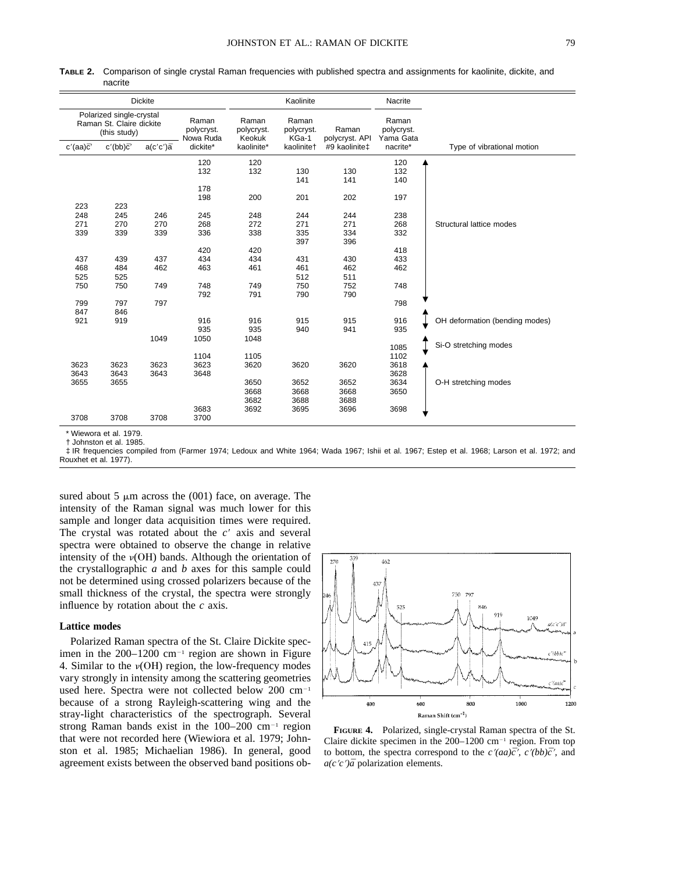| <b>Dickite</b>                                                                                           |                  |                               |                              |                         | Kaolinite                        |               | Nacrite           |                                |
|----------------------------------------------------------------------------------------------------------|------------------|-------------------------------|------------------------------|-------------------------|----------------------------------|---------------|-------------------|--------------------------------|
| Polarized single-crystal<br>Raman<br>Raman St. Claire dickite<br>polycryst.<br>(this study)<br>Nowa Ruda |                  | Raman<br>polycryst.<br>Keokuk | Raman<br>polycryst.<br>KGa-1 | Raman<br>polycryst. API | Raman<br>polycryst.<br>Yama Gata |               |                   |                                |
| $c'(aa)\bar{c}'$                                                                                         | $c'(bb)\bar{c}'$ | $a(c'c')\bar{a}$              | dickite*                     | kaolinite*              | kaolinitet                       | #9 kaolinite‡ | nacrite*          | Type of vibrational motion     |
|                                                                                                          |                  |                               | 120<br>132                   | 120<br>132              | 130<br>141                       | 130<br>141    | 120<br>132<br>140 |                                |
|                                                                                                          |                  |                               | 178                          |                         |                                  |               |                   |                                |
| 223                                                                                                      | 223              |                               | 198                          | 200                     | 201                              | 202           | 197               |                                |
| 248<br>271                                                                                               | 245<br>270       | 246<br>270                    | 245<br>268                   | 248<br>272              | 244<br>271                       | 244<br>271    | 238<br>268        | Structural lattice modes       |
| 339                                                                                                      | 339              | 339                           | 336                          | 338                     | 335<br>397                       | 334<br>396    | 332               |                                |
|                                                                                                          |                  |                               | 420                          | 420                     |                                  |               | 418               |                                |
| 437                                                                                                      | 439              | 437                           | 434                          | 434                     | 431                              | 430           | 433               |                                |
| 468                                                                                                      | 484              | 462                           | 463                          | 461                     | 461                              | 462           | 462               |                                |
| 525                                                                                                      | 525              |                               |                              |                         | 512                              | 511           |                   |                                |
| 750                                                                                                      | 750              | 749                           | 748<br>792                   | 749                     | 750                              | 752           | 748               |                                |
| 799<br>847                                                                                               | 797<br>846       | 797                           |                              | 791                     | 790                              | 790           | 798               |                                |
| 921                                                                                                      | 919              |                               | 916<br>935                   | 916<br>935              | 915<br>940                       | 915<br>941    | 916<br>935        | OH deformation (bending modes) |
|                                                                                                          |                  | 1049                          | 1050                         | 1048                    |                                  |               | 1085              | Si-O stretching modes          |
|                                                                                                          |                  |                               | 1104                         | 1105                    |                                  |               | 1102              |                                |
| 3623                                                                                                     | 3623             | 3623                          | 3623                         | 3620                    | 3620                             | 3620          | 3618              |                                |
| 3643                                                                                                     | 3643             | 3643                          | 3648                         |                         |                                  |               | 3628              |                                |
| 3655                                                                                                     | 3655             |                               |                              | 3650                    | 3652                             | 3652          | 3634              | O-H stretching modes           |
|                                                                                                          |                  |                               |                              | 3668<br>3682            | 3668<br>3688                     | 3668<br>3688  | 3650              |                                |
|                                                                                                          |                  |                               | 3683                         | 3692                    | 3695                             | 3696          | 3698              |                                |
| 3708                                                                                                     | 3708             | 3708                          | 3700                         |                         |                                  |               |                   |                                |

**TABLE 2.** Comparison of single crystal Raman frequencies with published spectra and assignments for kaolinite, dickite, and nacrite

\* Wiewora et al. 1979.

† Johnston et al. 1985.

‡ IR frequencies compiled from (Farmer 1974; Ledoux and White 1964; Wada 1967; Ishii et al. 1967; Estep et al. 1968; Larson et al. 1972; and Rouxhet et al. 1977).

sured about 5  $\mu$ m across the (001) face, on average. The intensity of the Raman signal was much lower for this sample and longer data acquisition times were required. The crystal was rotated about the  $c<sup>9</sup>$  axis and several spectra were obtained to observe the change in relative intensity of the  $\nu(OH)$  bands. Although the orientation of the crystallographic *a* and *b* axes for this sample could not be determined using crossed polarizers because of the small thickness of the crystal, the spectra were strongly influence by rotation about the *c* axis.

### **Lattice modes**

Polarized Raman spectra of the St. Claire Dickite specimen in the  $200-1200$  cm<sup>-1</sup> region are shown in Figure 4. Similar to the  $\nu(OH)$  region, the low-frequency modes vary strongly in intensity among the scattering geometries used here. Spectra were not collected below 200 cm<sup>-1</sup> because of a strong Rayleigh-scattering wing and the stray-light characteristics of the spectrograph. Several strong Raman bands exist in the  $100-200$  cm<sup>-1</sup> region that were not recorded here (Wiewiora et al. 1979; Johnston et al. 1985; Michaelian 1986). In general, good agreement exists between the observed band positions ob-



**FIGURE 4.** Polarized, single-crystal Raman spectra of the St. Claire dickite specimen in the  $200-1200$  cm<sup>-1</sup> region. From top to bottom, the spectra correspond to the  $c'(aa)\bar{c}'$ ,  $c'(bb)\bar{c}'$ , and *a*(*c*'*c*') $\bar{a}$  polarization elements.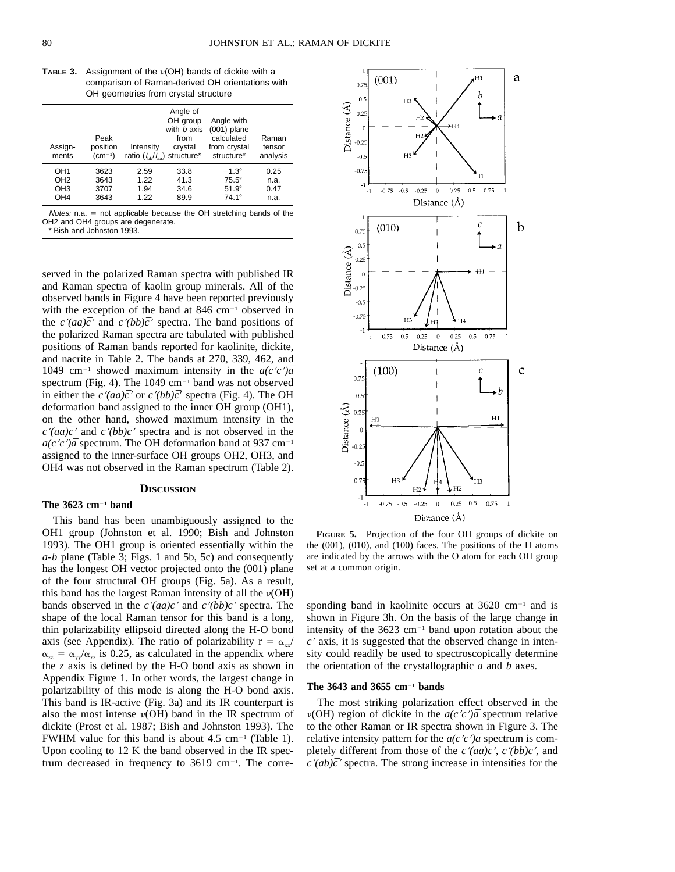| <b>TABLE 3.</b> Assignment of the $\nu(OH)$ bands of dickite with a |
|---------------------------------------------------------------------|
| comparison of Raman-derived OH orientations with                    |
| OH geometries from crystal structure                                |

| Assign-<br>ments | Peak<br>position<br>$(cm^{-1})$ | Intensity<br>ratio $(I_{\text{bb}}/I_{\text{eq}})$ structure* | Angle of<br>OH group<br>with <i>b</i> axis<br>from<br>crystal | Angle with<br>$(001)$ plane<br>calculated<br>from crystal<br>structure* | Raman<br>tensor<br>analysis |
|------------------|---------------------------------|---------------------------------------------------------------|---------------------------------------------------------------|-------------------------------------------------------------------------|-----------------------------|
| OH <sub>1</sub>  | 3623                            | 2.59                                                          | 33.8                                                          | $-1.3^\circ$                                                            | 0.25                        |
| OH <sub>2</sub>  | 3643                            | 1.22                                                          | 41.3                                                          | $75.5^\circ$                                                            | n.a.                        |
| OH <sub>3</sub>  | 3707                            | 1.94                                                          | 34.6                                                          | $51.9^\circ$                                                            | 0.47                        |
| OH <sub>4</sub>  | 3643                            | 1.22                                                          | 89.9                                                          | $74.1^\circ$                                                            | n.a.                        |

Notes:  $n.a. = not a  
policable because the OH stretching bands of the$ OH2 and OH4 groups are degenerate. \* Bish and Johnston 1993.

served in the polarized Raman spectra with published IR and Raman spectra of kaolin group minerals. All of the observed bands in Figure 4 have been reported previously with the exception of the band at  $846 \text{ cm}^{-1}$  observed in the  $c'(aa)\bar{c}'$  and  $c'(bb)\bar{c}'$  spectra. The band positions of the polarized Raman spectra are tabulated with published positions of Raman bands reported for kaolinite, dickite, and nacrite in Table 2. The bands at 270, 339, 462, and 1049 cm<sup>-1</sup> showed maximum intensity in the  $a(c'c')\bar{a}$ spectrum (Fig. 4). The  $1049 \text{ cm}^{-1}$  band was not observed in either the  $c'(aa)\bar{c}'$  or  $c'(bb)\bar{c}'$  spectra (Fig. 4). The OH deformation band assigned to the inner OH group (OH1), on the other hand, showed maximum intensity in the  $c'(aa)\bar{c}'$  and  $c'(bb)\bar{c}'$  spectra and is not observed in the  $a(c/c')\bar{a}$  spectrum. The OH deformation band at 937 cm<sup>-1</sup> assigned to the inner-surface OH groups OH2, OH3, and OH4 was not observed in the Raman spectrum (Table 2).

# **DISCUSSION**

### **The 3623 cm<sup>** $-1$ **</sup> band**

This band has been unambiguously assigned to the OH1 group (Johnston et al. 1990; Bish and Johnston 1993). The OH1 group is oriented essentially within the *a*-*b* plane (Table 3; Figs. 1 and 5b, 5c) and consequently has the longest OH vector projected onto the (001) plane of the four structural OH groups (Fig. 5a). As a result, this band has the largest Raman intensity of all the  $\nu(OH)$ bands observed in the  $c'(aa)\bar{c}'$  and  $c'(bb)\bar{c}'$  spectra. The shape of the local Raman tensor for this band is a long, thin polarizability ellipsoid directed along the H-O bond axis (see Appendix). The ratio of polarizability  $r = \alpha_{xx}/$  $\alpha_{zz} = \alpha_{yy}/\alpha_{zz}$  is 0.25, as calculated in the appendix where the *z* axis is defined by the H-O bond axis as shown in Appendix Figure 1. In other words, the largest change in polarizability of this mode is along the H-O bond axis. This band is IR-active (Fig. 3a) and its IR counterpart is also the most intense  $\nu(OH)$  band in the IR spectrum of dickite (Prost et al. 1987; Bish and Johnston 1993). The FWHM value for this band is about  $4.5 \text{ cm}^{-1}$  (Table 1). Upon cooling to 12 K the band observed in the IR spectrum decreased in frequency to  $3619 \text{ cm}^{-1}$ . The corre-



**FIGURE 5.** Projection of the four OH groups of dickite on the (001), (010), and (100) faces. The positions of the H atoms are indicated by the arrows with the O atom for each OH group set at a common origin.

sponding band in kaolinite occurs at  $3620 \text{ cm}^{-1}$  and is shown in Figure 3h. On the basis of the large change in intensity of the  $3623 \text{ cm}^{-1}$  band upon rotation about the  $c<sup>9</sup>$  axis, it is suggested that the observed change in intensity could readily be used to spectroscopically determine the orientation of the crystallographic *a* and *b* axes.

### **The 3643 and 3655 cm**2**<sup>1</sup> bands**

The most striking polarization effect observed in the  $\nu(OH)$  region of dickite in the  $a(c'c')\bar{a}$  spectrum relative to the other Raman or IR spectra shown in Figure 3. The relative intensity pattern for the  $a(c'c')\bar{a}$  spectrum is completely different from those of the  $c'(aa)\bar{c}'$ ,  $c'(bb)\bar{c}'$ , and  $c'(ab)\bar{c}'$  spectra. The strong increase in intensities for the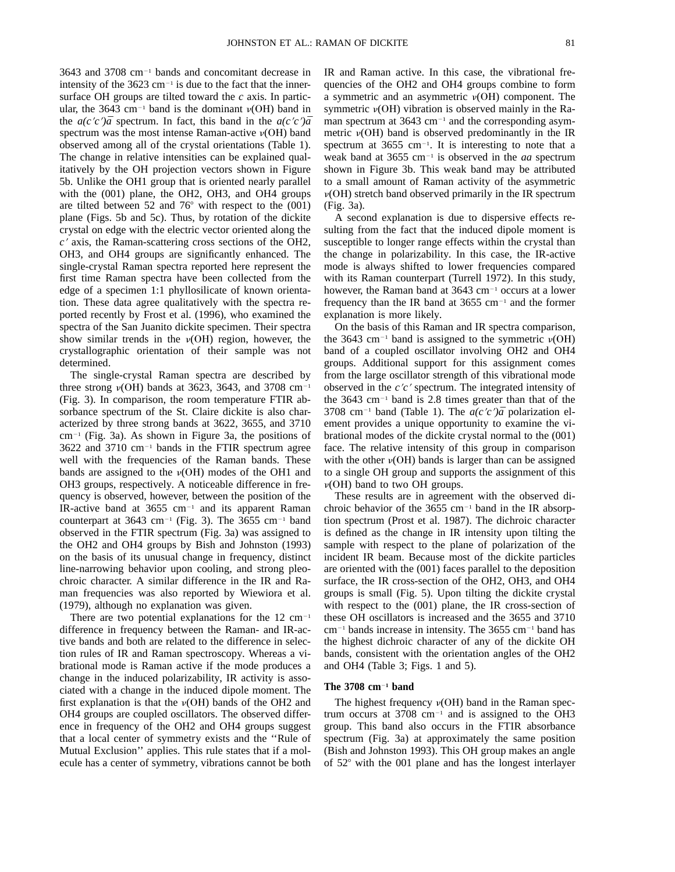$3643$  and  $3708$  cm<sup>-1</sup> bands and concomitant decrease in intensity of the  $3623 \text{ cm}^{-1}$  is due to the fact that the innersurface OH groups are tilted toward the *c* axis. In particular, the 3643 cm<sup>-1</sup> band is the dominant  $\nu(OH)$  band in the *a(c'c'*) $\bar{a}$  spectrum. In fact, this band in the *a(c'c'*) $\bar{a}$ spectrum was the most intense Raman-active  $\nu(OH)$  band observed among all of the crystal orientations (Table 1). The change in relative intensities can be explained qualitatively by the OH projection vectors shown in Figure 5b. Unlike the OH1 group that is oriented nearly parallel with the (001) plane, the OH2, OH3, and OH4 groups are tilted between 52 and  $76^{\circ}$  with respect to the  $(001)$ plane (Figs. 5b and 5c). Thus, by rotation of the dickite crystal on edge with the electric vector oriented along the *c*<sup>9</sup> axis, the Raman-scattering cross sections of the OH2, OH3, and OH4 groups are significantly enhanced. The single-crystal Raman spectra reported here represent the first time Raman spectra have been collected from the edge of a specimen 1:1 phyllosilicate of known orientation. These data agree qualitatively with the spectra reported recently by Frost et al. (1996), who examined the spectra of the San Juanito dickite specimen. Their spectra show similar trends in the  $v(OH)$  region, however, the crystallographic orientation of their sample was not determined.

The single-crystal Raman spectra are described by three strong  $\nu(OH)$  bands at 3623, 3643, and 3708 cm<sup>-1</sup> (Fig. 3). In comparison, the room temperature FTIR absorbance spectrum of the St. Claire dickite is also characterized by three strong bands at 3622, 3655, and 3710  $cm^{-1}$  (Fig. 3a). As shown in Figure 3a, the positions of  $3622$  and  $3710$  cm<sup>-1</sup> bands in the FTIR spectrum agree well with the frequencies of the Raman bands. These bands are assigned to the  $v(OH)$  modes of the OH1 and OH3 groups, respectively. A noticeable difference in frequency is observed, however, between the position of the IR-active band at  $3655 \text{ cm}^{-1}$  and its apparent Raman counterpart at  $3643$  cm<sup>-1</sup> (Fig. 3). The  $3655$  cm<sup>-1</sup> band observed in the FTIR spectrum (Fig. 3a) was assigned to the OH2 and OH4 groups by Bish and Johnston (1993) on the basis of its unusual change in frequency, distinct line-narrowing behavior upon cooling, and strong pleochroic character. A similar difference in the IR and Raman frequencies was also reported by Wiewiora et al. (1979), although no explanation was given.

There are two potential explanations for the  $12 \text{ cm}^{-1}$ difference in frequency between the Raman- and IR-active bands and both are related to the difference in selection rules of IR and Raman spectroscopy. Whereas a vibrational mode is Raman active if the mode produces a change in the induced polarizability, IR activity is associated with a change in the induced dipole moment. The first explanation is that the  $v(OH)$  bands of the OH2 and OH4 groups are coupled oscillators. The observed difference in frequency of the OH2 and OH4 groups suggest that a local center of symmetry exists and the ''Rule of Mutual Exclusion'' applies. This rule states that if a molecule has a center of symmetry, vibrations cannot be both

IR and Raman active. In this case, the vibrational frequencies of the OH2 and OH4 groups combine to form a symmetric and an asymmetric  $\nu(OH)$  component. The symmetric  $\nu(OH)$  vibration is observed mainly in the Raman spectrum at  $3643 \text{ cm}^{-1}$  and the corresponding asymmetric  $\nu(OH)$  band is observed predominantly in the IR spectrum at  $3655$  cm<sup>-1</sup>. It is interesting to note that a weak band at 3655 cm<sup>-1</sup> is observed in the *aa* spectrum shown in Figure 3b. This weak band may be attributed to a small amount of Raman activity of the asymmetric  $\nu(OH)$  stretch band observed primarily in the IR spectrum (Fig. 3a).

A second explanation is due to dispersive effects resulting from the fact that the induced dipole moment is susceptible to longer range effects within the crystal than the change in polarizability. In this case, the IR-active mode is always shifted to lower frequencies compared with its Raman counterpart (Turrell 1972). In this study, however, the Raman band at  $3643 \text{ cm}^{-1}$  occurs at a lower frequency than the IR band at  $3655$  cm<sup>-1</sup> and the former explanation is more likely.

On the basis of this Raman and IR spectra comparison, the 3643 cm<sup>-1</sup> band is assigned to the symmetric  $v(OH)$ band of a coupled oscillator involving OH2 and OH4 groups. Additional support for this assignment comes from the large oscillator strength of this vibrational mode observed in the *c'c'* spectrum. The integrated intensity of the  $3643 \text{ cm}^{-1}$  band is 2.8 times greater than that of the 3708 cm<sup>-1</sup> band (Table 1). The  $a(c'c')\bar{a}$  polarization element provides a unique opportunity to examine the vibrational modes of the dickite crystal normal to the (001) face. The relative intensity of this group in comparison with the other  $v(OH)$  bands is larger than can be assigned to a single OH group and supports the assignment of this  $\nu(OH)$  band to two OH groups.

These results are in agreement with the observed dichroic behavior of the  $3655$  cm<sup>-1</sup> band in the IR absorption spectrum (Prost et al. 1987). The dichroic character is defined as the change in IR intensity upon tilting the sample with respect to the plane of polarization of the incident IR beam. Because most of the dickite particles are oriented with the (001) faces parallel to the deposition surface, the IR cross-section of the OH2, OH3, and OH4 groups is small (Fig. 5). Upon tilting the dickite crystal with respect to the (001) plane, the IR cross-section of these OH oscillators is increased and the 3655 and 3710  $cm^{-1}$  bands increase in intensity. The 3655 cm<sup>-1</sup> band has the highest dichroic character of any of the dickite OH bands, consistent with the orientation angles of the OH2 and OH4 (Table 3; Figs. 1 and 5).

### **The 3708 cm<sup>-1</sup> band**

The highest frequency  $\nu(OH)$  band in the Raman spectrum occurs at  $3708$  cm<sup>-1</sup> and is assigned to the OH3 group. This band also occurs in the FTIR absorbance spectrum (Fig. 3a) at approximately the same position (Bish and Johnston 1993). This OH group makes an angle of  $52^{\circ}$  with the 001 plane and has the longest interlayer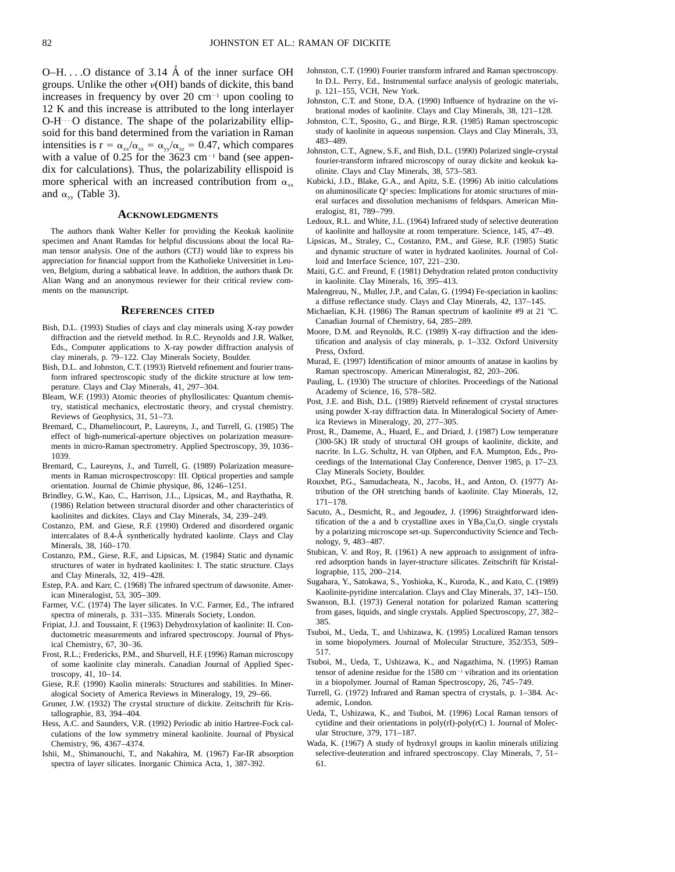$O-H$ ... O distance of 3.14 Å of the inner surface OH groups. Unlike the other  $\nu(OH)$  bands of dickite, this band increases in frequency by over  $20 \text{ cm}^{-1}$  upon cooling to 12 K and this increase is attributed to the long interlayer  $O-H \cdots O$  distance. The shape of the polarizability ellipsoid for this band determined from the variation in Raman intensities is  $r = \alpha_{xx}/\alpha_{zz} = \alpha_{yy}/\alpha_{zz} = 0.47$ , which compares with a value of  $0.25$  for the  $3623$  cm<sup>-1</sup> band (see appendix for calculations). Thus, the polarizability ellispoid is more spherical with an increased contribution from  $\alpha_{xx}$ and  $\alpha_{yy}$  (Table 3).

#### **ACKNOWLEDGMENTS**

The authors thank Walter Keller for providing the Keokuk kaolinite specimen and Anant Ramdas for helpful discussions about the local Raman tensor analysis. One of the authors (CTJ) would like to express his appreciation for financial support from the Katholieke Universitiet in Leuven, Belgium, during a sabbatical leave. In addition, the authors thank Dr. Alian Wang and an anonymous reviewer for their critical review comments on the manuscript.

#### **REFERENCES CITED**

- Bish, D.L. (1993) Studies of clays and clay minerals using X-ray powder diffraction and the rietveld method. In R.C. Reynolds and J.R. Walker, Eds., Computer applications to X-ray powder diffraction analysis of clay minerals, p. 79–122. Clay Minerals Society, Boulder.
- Bish, D.L. and Johnston, C.T. (1993) Rietveld refinement and fourier transform infrared spectroscopic study of the dickite structure at low temperature. Clays and Clay Minerals, 41, 297–304.
- Bleam, W.F. (1993) Atomic theories of phyllosilicates: Quantum chemistry, statistical mechanics, electrostatic theory, and crystal chemistry. Reviews of Geophysics, 31, 51–73.
- Bremard, C., Dhamelincourt, P., Laureyns, J., and Turrell, G. (1985) The effect of high-numerical-aperture objectives on polarization measurements in micro-Raman spectrometry. Applied Spectroscopy, 39, 1036– 1039.
- Bremard, C., Laureyns, J., and Turrell, G. (1989) Polarization measurements in Raman microspectroscopy: III. Optical properties and sample orientation. Journal de Chimie physique, 86, 1246–1251.
- Brindley, G.W., Kao, C., Harrison, J.L., Lipsicas, M., and Raythatha, R. (1986) Relation between structural disorder and other characteristics of kaolinites and dickites. Clays and Clay Minerals, 34, 239–249.
- Costanzo, P.M. and Giese, R.F. (1990) Ordered and disordered organic intercalates of 8.4-Å synthetically hydrated kaolinte. Clays and Clay Minerals, 38, 160–170.
- Costanzo, P.M., Giese, R.F., and Lipsicas, M. (1984) Static and dynamic structures of water in hydrated kaolinites: I. The static structure. Clays and Clay Minerals, 32, 419–428.
- Estep, P.A. and Karr, C. (1968) The infrared spectrum of dawsonite. American Mineralogist, 53, 305–309.
- Farmer, V.C. (1974) The layer silicates. In V.C. Farmer, Ed., The infrared spectra of minerals, p. 331–335. Minerals Society, London.
- Fripiat, J.J. and Toussaint, F. (1963) Dehydroxylation of kaolinite: II. Conductometric measurements and infrared spectroscopy. Journal of Physical Chemistry, 67, 30–36.
- Frost, R.L.; Fredericks, P.M., and Shurvell, H.F. (1996) Raman microscopy of some kaolinite clay minerals. Canadian Journal of Applied Spectroscopy, 41, 10–14.
- Giese, R.F. (1990) Kaolin minerals: Structures and stabilities. In Mineralogical Society of America Reviews in Mineralogy, 19, 29–66.
- Gruner, J.W. (1932) The crystal structure of dickite. Zeitschrift für Kristallographie, 83, 394–404.
- Hess, A.C. and Saunders, V.R. (1992) Periodic ab initio Hartree-Fock calculations of the low symmetry mineral kaolinite. Journal of Physical Chemistry, 96, 4367–4374.
- Ishii, M., Shimanouchi, T., and Nakahira, M. (1967) Far-IR absorption spectra of layer silicates. Inorganic Chimica Acta, 1, 387-392.
- Johnston, C.T. (1990) Fourier transform infrared and Raman spectroscopy. In D.L. Perry, Ed., Instrumental surface analysis of geologic materials, p. 121–155, VCH, New York.
- Johnston, C.T. and Stone, D.A. (1990) Influence of hydrazine on the vibrational modes of kaolinite. Clays and Clay Minerals, 38, 121–128.
- Johnston, C.T., Sposito, G., and Birge, R.R. (1985) Raman spectroscopic study of kaolinite in aqueous suspension. Clays and Clay Minerals, 33, 483–489.
- Johnston, C.T., Agnew, S.F., and Bish, D.L. (1990) Polarized single-crystal fourier-transform infrared microscopy of ouray dickite and keokuk kaolinite. Clays and Clay Minerals, 38, 573–583.
- Kubicki, J.D., Blake, G.A., and Apitz, S.E. (1996) Ab initio calculations on aluminosilicate Q<sup>3</sup> species: Implications for atomic structures of mineral surfaces and dissolution mechanisms of feldspars. American Mineralogist, 81, 789–799.
- Ledoux, R.L. and White, J.L. (1964) Infrared study of selective deuteration of kaolinite and halloysite at room temperature. Science, 145, 47–49.
- Lipsicas, M., Straley, C., Costanzo, P.M., and Giese, R.F. (1985) Static and dynamic structure of water in hydrated kaolinites. Journal of Colloid and Interface Science, 107, 221–230.
- Maiti, G.C. and Freund, F. (1981) Dehydration related proton conductivity in kaolinite. Clay Minerals, 16, 395–413.
- Malengreau, N., Muller, J.P., and Calas, G. (1994) Fe-speciation in kaolins: a diffuse reflectance study. Clays and Clay Minerals, 42, 137–145.
- Michaelian, K.H. (1986) The Raman spectrum of kaolinite #9 at 21 °C. Canadian Journal of Chemistry, 64, 285–289.
- Moore, D.M. and Reynolds, R.C. (1989) X-ray diffraction and the identification and analysis of clay minerals, p. 1–332. Oxford University Press, Oxford.
- Murad, E. (1997) Identification of minor amounts of anatase in kaolins by Raman spectroscopy. American Mineralogist, 82, 203–206.
- Pauling, L. (1930) The structure of chlorites. Proceedings of the National Academy of Science, 16, 578–582.
- Post, J.E. and Bish, D.L. (1989) Rietveld refinement of crystal structures using powder X-ray diffraction data. In Mineralogical Society of America Reviews in Mineralogy, 20, 277–305.
- Prost, R., Dameme, A., Huard, E., and Driard, J. (1987) Low temperature (300-5K) IR study of structural OH groups of kaolinite, dickite, and nacrite. In L.G. Schultz, H. van Olphen, and F.A. Mumpton, Eds., Proceedings of the International Clay Conference, Denver 1985, p. 17–23. Clay Minerals Society, Boulder.
- Rouxhet, P.G., Samudacheata, N., Jacobs, H., and Anton, O. (1977) Attribution of the OH stretching bands of kaolinite. Clay Minerals, 12, 171–178.
- Sacuto, A., Desmicht, R., and Jegoudez, J. (1996) Straightforward identification of the a and b crystalline axes in  $YBa<sub>2</sub>Cu<sub>3</sub>O<sub>7</sub>$  single crystals by a polarizing microscope set-up. Superconductivity Science and Technology, 9, 483–487.
- Stubican, V. and Roy, R. (1961) A new approach to assignment of infrared adsorption bands in layer-structure silicates. Zeitschrift für Kristallographie, 115, 200–214.
- Sugahara, Y., Satokawa, S., Yoshioka, K., Kuroda, K., and Kato, C. (1989) Kaolinite-pyridine intercalation. Clays and Clay Minerals, 37, 143–150.
- Swanson, B.I. (1973) General notation for polarized Raman scattering from gases, liquids, and single crystals. Applied Spectroscopy, 27, 382– 385.
- Tsuboi, M., Ueda, T., and Ushizawa, K. (1995) Localized Raman tensors in some biopolymers. Journal of Molecular Structure, 352/353, 509– 517.
- Tsuboi, M., Ueda, T., Ushizawa, K., and Nagazhima, N. (1995) Raman tensor of adenine residue for the 1580 cm<sup>-1</sup> vibration and its orientation in a biopolymer. Journal of Raman Spectroscopy, 26, 745–749.
- Turrell, G. (1972) Infrared and Raman spectra of crystals, p. 1–384. Academic, London.
- Ueda, T., Ushizawa, K., and Tsuboi, M. (1996) Local Raman tensors of cytidine and their orientations in poly(rI)-poly(rC) 1. Journal of Molecular Structure, 379, 171–187.
- Wada, K. (1967) A study of hydroxyl groups in kaolin minerals utilizing selective-deuteration and infrared spectroscopy. Clay Minerals, 7, 51– 61.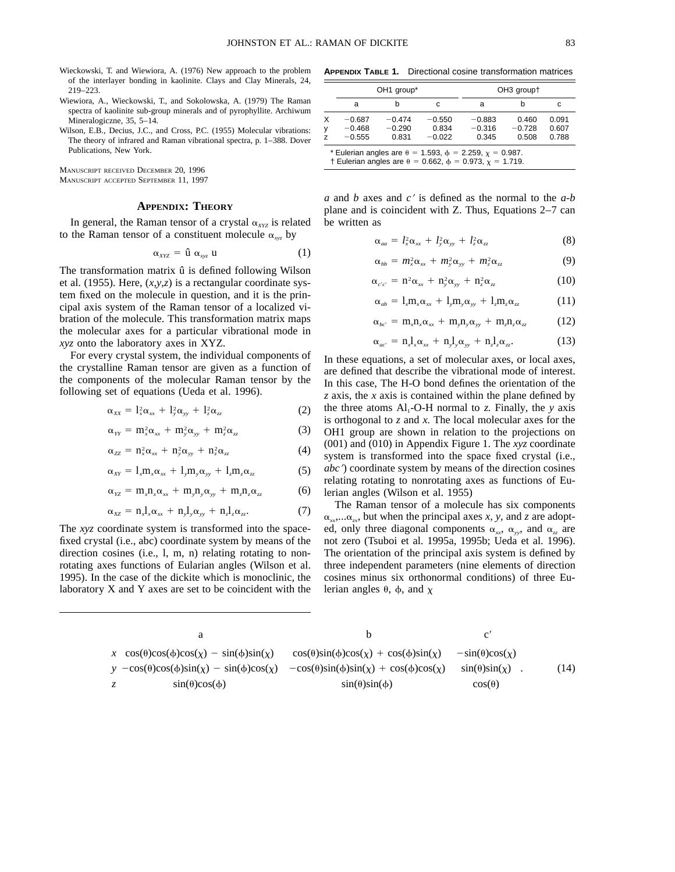- Wieckowski, T. and Wiewiora, A. (1976) New approach to the problem of the interlayer bonding in kaolinite. Clays and Clay Minerals, 24, 219–223.
- Wiewiora, A., Wieckowski, T., and Sokolowska, A. (1979) The Raman spectra of kaolinite sub-group minerals and of pyrophyllite. Archiwum Mineralogiczne, 35, 5–14.
- Wilson, E.B., Decius, J.C., and Cross, P.C. (1955) Molecular vibrations: The theory of infrared and Raman vibrational spectra, p. 1–388. Dover Publications, New York.

MANUSCRIPT RECEIVED DECEMBER 20, 1996 MANUSCRIPT ACCEPTED SEPTEMBER 11, 1997

# **APPENDIX: THEORY**

In general, the Raman tensor of a crystal  $\alpha_{XYZ}$  is related to the Raman tensor of a constituent molecule  $\alpha_{xy}$  by

$$
\alpha_{XYZ} = \hat{\mathbf{u}} \; \alpha_{xyz} \; \mathbf{u} \tag{1}
$$

The transformation matrix û is defined following Wilson et al. (1955). Here, (*x,y,z*) is a rectangular coordinate system fixed on the molecule in question, and it is the principal axis system of the Raman tensor of a localized vibration of the molecule. This transformation matrix maps the molecular axes for a particular vibrational mode in *xyz* onto the laboratory axes in XYZ.

For every crystal system, the individual components of the crystalline Raman tensor are given as a function of the components of the molecular Raman tensor by the following set of equations (Ueda et al. 1996).

$$
\alpha_{xx} = l_x^2 \alpha_{xx} + l_y^2 \alpha_{yy} + l_z^2 \alpha_{zz}
$$
 (2)

$$
\alpha_{YY} = m_x^2 \alpha_{xx} + m_y^2 \alpha_{yy} + m_z^2 \alpha_{zz}
$$
 (3)

$$
\alpha_{zz} = n_x^2 \alpha_{xx} + n_y^2 \alpha_{yy} + n_z^2 \alpha_{zz}
$$
 (4)

$$
\alpha_{XY} = l_x m_x \alpha_{xx} + l_y m_y \alpha_{yy} + l_z m_z \alpha_{zz}
$$
 (5)

$$
\alpha_{\gamma z} = m_x n_x \alpha_{xx} + m_y n_y \alpha_{yy} + m_z n_z \alpha_{zz}
$$
 (6)

$$
\alpha_{xz} = n_x l_x \alpha_{xx} + n_y l_y \alpha_{yy} + n_z l_z \alpha_{zz}.
$$
 (7)

The *xyz* coordinate system is transformed into the spacefixed crystal (i.e., abc) coordinate system by means of the direction cosines (i.e., l, m, n) relating rotating to nonrotating axes functions of Eularian angles (Wilson et al. 1995). In the case of the dickite which is monoclinic, the laboratory X and Y axes are set to be coincident with the

**APPENDIX TABLE 1.** Directional cosine transformation matrices

|             |                                                                                                                                                | OH <sub>1</sub> group*        |                               | OH <sub>3</sub> groupt        |                            |                         |  |  |
|-------------|------------------------------------------------------------------------------------------------------------------------------------------------|-------------------------------|-------------------------------|-------------------------------|----------------------------|-------------------------|--|--|
|             | a                                                                                                                                              | b                             | С                             | a                             | n                          | с                       |  |  |
| X<br>y<br>z | $-0.687$<br>$-0.468$<br>$-0.555$                                                                                                               | $-0.474$<br>$-0.290$<br>0.831 | $-0.550$<br>0.834<br>$-0.022$ | $-0.883$<br>$-0.316$<br>0.345 | 0.460<br>$-0.728$<br>0.508 | 0.091<br>0.607<br>0.788 |  |  |
|             | * Eulerian angles are $\theta = 1.593$ , $\phi = 2.259$ , $\chi = 0.987$ .<br>† Eulerian angles are θ = 0.662, $\phi$ = 0.973, $\chi$ = 1.719. |                               |                               |                               |                            |                         |  |  |

 $\alpha$  and  $\beta$  axes and  $c'$  is defined as the normal to the  $a-b$ plane and is coincident with Z. Thus, Equations 2–7 can be written as

$$
\alpha_{aa} = l_x^2 \alpha_{xx} + l_y^2 \alpha_{yy} + l_z^2 \alpha_{zz} \tag{8}
$$

$$
\alpha_{bb} = m_x^2 \alpha_{xx} + m_y^2 \alpha_{yy} + m_z^2 \alpha_{zz} \tag{9}
$$

$$
\alpha_{c'c'} = n^2 \alpha_{xx} + n_y^2 \alpha_{yy} + n_z^2 \alpha_{zz}
$$
 (10)

$$
\alpha_{ab} = l_x m_x \alpha_{xx} + l_y m_y \alpha_{yy} + l_z m_z \alpha_{zz}
$$
 (11)

$$
\alpha_{bc'} = m_x n_x \alpha_{xx} + m_y n_y \alpha_{yy} + m_z n_z \alpha_{zz}
$$
 (12)

$$
\alpha_{ac'} = n_x l_x \alpha_{xx} + n_y l_y \alpha_{yy} + n_z l_z \alpha_{zz}.
$$
 (13)

In these equations, a set of molecular axes, or local axes, are defined that describe the vibrational mode of interest. In this case, The H-O bond defines the orientation of the *z* axis, the *x* axis is contained within the plane defined by the three atoms  $Al_1$ -O-H normal to *z*. Finally, the *y* axis is orthogonal to *z* and *x.* The local molecular axes for the OH1 group are shown in relation to the projections on (001) and (010) in Appendix Figure 1. The *xyz* coordinate system is transformed into the space fixed crystal (i.e., *abc*) coordinate system by means of the direction cosines relating rotating to nonrotating axes as functions of Eulerian angles (Wilson et al. 1955)

The Raman tensor of a molecule has six components  $\alpha_{xx} \ldots \alpha_{xx}$ , but when the principal axes *x*, *y*, and *z* are adopted, only three diagonal components  $\alpha_{xx}$ ,  $\alpha_{yy}$ , and  $\alpha_{zz}$  are not zero (Tsuboi et al. 1995a, 1995b; Ueda et al. 1996). The orientation of the principal axis system is defined by three independent parameters (nine elements of direction cosines minus six orthonormal conditions) of three Eulerian angles  $\theta$ ,  $\phi$ , and x

|    | $x\left[\cos(\theta)\cos(\phi)\cos(\chi) - \sin(\phi)\sin(\chi)\right]$ | $cos(\theta)sin(\phi)cos(\chi) + cos(\phi)sin(\chi)$       | $-\sin(\theta)\cos(\chi)$ |      |
|----|-------------------------------------------------------------------------|------------------------------------------------------------|---------------------------|------|
|    | $y \mid -\cos(\theta)\cos(\phi)\sin(\chi) - \sin(\phi)\cos(\chi)$       | $-\cos(\theta)\sin(\phi)\sin(\chi) + \cos(\phi)\cos(\chi)$ | $sin(\theta)sin(\chi)$  . | (14) |
| ΖI | $sin(\theta)cos(\phi)$                                                  | $sin(\theta)sin(\phi)$                                     | $cos(\theta)$             |      |